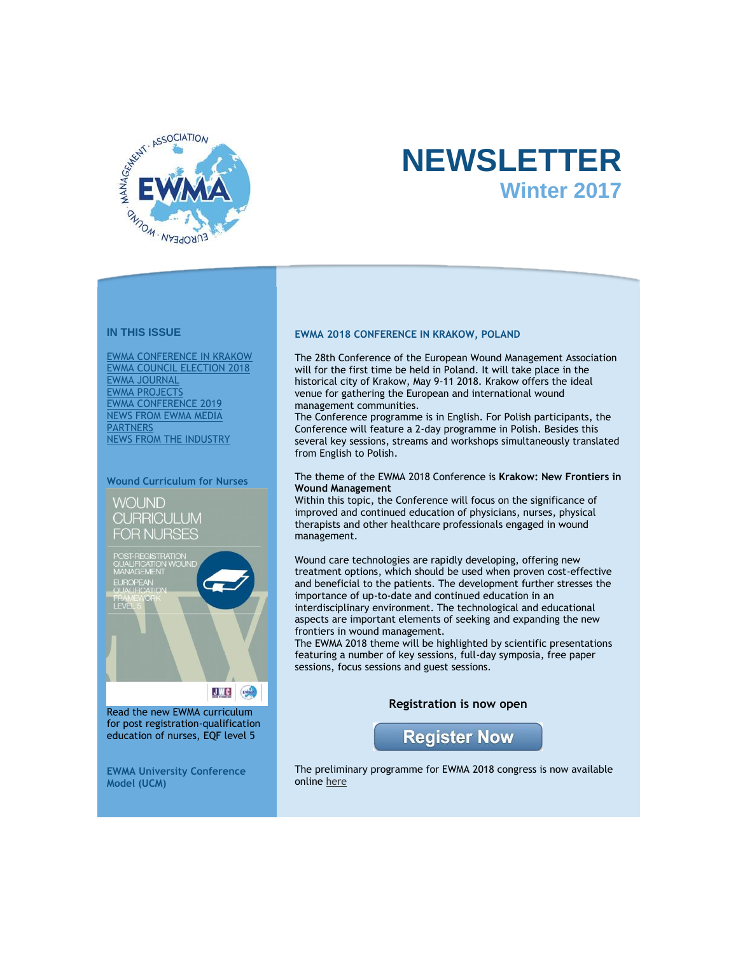

# **NEWSLETTER Winter 2017**

# **IN THIS ISSUE**

[EWMA CONFERENCE IN KRAKOW](https://app.icontact.com/icp/core/message/preview/content/2081647#EWMA2016ConferenceinBremenGermany) [EWMA COUNCIL ELECTION 2018](https://app.icontact.com/icp/core/message/preview/content/2081647#EWMA%20COUNCIL%20ELECTION%202018) [EWMA JOURNAL](https://app.icontact.com/icp/core/message/preview/content/2081647#EWMAJournal) [EWMA PROJECTS](https://app.icontact.com/icp/core/message/preview/content/2081647#EWMAprojectsnews) [EWMA CONFERENCE 2019](https://app.icontact.com/icp/core/message/preview/content/2081647#EWMAConferencein2017) [NEWS FROM EWMA MEDIA](https://app.icontact.com/icp/core/message/preview/content/2081647#NEWS%20FROM%20EWMA%20MEDIA%20PARTNERS)  **[PARTNERS](https://app.icontact.com/icp/core/message/preview/content/2081647#NEWS%20FROM%20EWMA%20MEDIA%20PARTNERS)** [NEWS FROM THE INDUSTRY](https://app.icontact.com/icp/core/message/preview/content/2081647#NEWSFROMTHEINDUSTRY)

#### **Wound Curriculum for Nurses**

WOUND **CURRICULUM** FOR NURSES



Read the new EWMA curriculum for post registration-qualification education of nurses, EQF level 5

**EWMA University Conference Model (UCM)**

## **EWMA 2018 CONFERENCE IN KRAKOW, POLAND**

The 28th Conference of the European Wound Management Association will for the first time be held in Poland. It will take place in the historical city of Krakow, May 9-11 2018. Krakow offers the ideal venue for gathering the European and international wound management communities.

The Conference programme is in English. For Polish participants, the Conference will feature a 2-day programme in Polish. Besides this several key sessions, streams and workshops simultaneously translated from English to Polish.

## The theme of the EWMA 2018 Conference is **Krakow: New Frontiers in Wound Management**

Within this topic, the Conference will focus on the significance of improved and continued education of physicians, nurses, physical therapists and other healthcare professionals engaged in wound management.

Wound care technologies are rapidly developing, offering new treatment options, which should be used when proven cost-effective and beneficial to the patients. The development further stresses the importance of up-to-date and continued education in an interdisciplinary environment. The technological and educational aspects are important elements of seeking and expanding the new frontiers in wound management.

The EWMA 2018 theme will be highlighted by scientific presentations featuring a number of key sessions, full-day symposia, free paper sessions, focus sessions and guest sessions.

# **Registration is now open**



The preliminary programme for EWMA 2018 congress is now available onlin[e here](http://click.icptrack.com/icp/relay.php?r=&msgid=2081647&act=111111&c=614578&destination=http%3A%2F%2Fewma.org%2Fewma-conference%2F2018%2Fscientific%2Fprogramme%2F)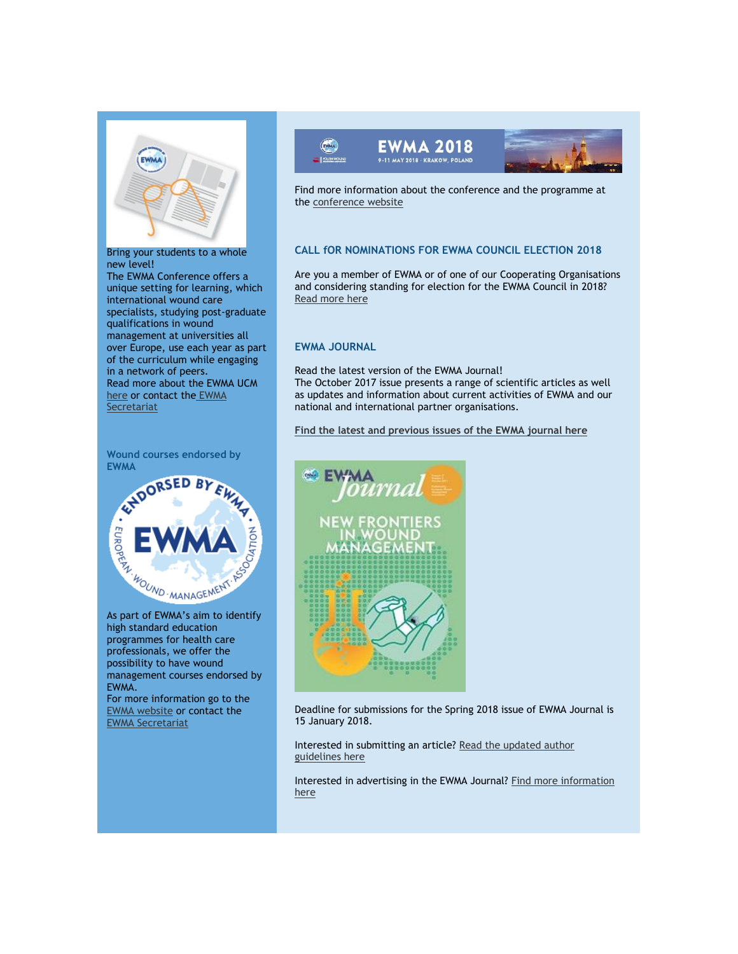

# Bring your students to a whole new level!

The EWMA Conference offers a unique setting for learning, which international wound care specialists, studying post-graduate qualifications in wound management at universities all over Europe, use each year as part of the curriculum while engaging in a network of peers. Read more about the EWMA UCM [here](http://click.icptrack.com/icp/relay.php?r=&msgid=2081647&act=111111&c=614578&destination=http%3A%2F%2Fewma.org%2Fwhat-we-do%2Feducation%2Fewma-ucm%2F) or contact th[e](mailto:ewma@ewma.org) EWMA **Secretariat** 





high standard education programmes for health care professionals, we offer the possibility to have wound management courses endorsed by EWMA.

For more information go to the [EWMA website](http://click.icptrack.com/icp/relay.php?r=&msgid=2081647&act=111111&c=614578&destination=http%3A%2F%2Fewma.org%2Fwhat-we-do%2Feducation%2Fewma-endorsements%2F) or contact the [EWMA Secretariat](mailto:ewma@ewma.org) 





Find more information about the conference and the programme at th[e conference website](http://click.icptrack.com/icp/relay.php?r=&msgid=2081647&act=111111&c=614578&destination=http%3A%2F%2Fewma.org%2Fewma-conference%2F2018%2F)

# **CALL fOR NOMINATIONS FOR EWMA COUNCIL ELECTION 2018**

Are you a member of EWMA or of one of our Cooperating Organisations and considering standing for election for the EWMA Council in 2018? [Read more here](http://click.icptrack.com/icp/relay.php?r=&msgid=2081647&act=111111&c=614578&destination=http%3A%2F%2Fewma.org%2Fabout-ewma%2Fcouncil%2Fguidelines-for-council-election%2F)

## **EWMA JOURNAL**

Read the latest version of the EWMA Journal! The October 2017 issue presents a range of scientific articles as well as updates and information about current activities of EWMA and our national and international partner organisations.

**[Find the latest and previous issues of the EWMA journal here](http://click.icptrack.com/icp/relay.php?r=&msgid=2081647&act=111111&c=614578&destination=http%3A%2F%2Fewma.org%2Fwhat-we-do%2Fewma-journal%2F)**



Deadline for submissions for the Spring 2018 issue of EWMA Journal is 15 January 2018.

Interested in submitting an article? [Read the updated author](http://click.icptrack.com/icp/relay.php?r=&msgid=2081647&act=111111&c=614578&destination=http%3A%2F%2Fewma.org%2Fwhat-we-do%2Fewma-journal%2Fauthor-guidelines%2F)  [guidelines here](http://click.icptrack.com/icp/relay.php?r=&msgid=2081647&act=111111&c=614578&destination=http%3A%2F%2Fewma.org%2Fwhat-we-do%2Fewma-journal%2Fauthor-guidelines%2F)

Interested in advertising in the EWMA Journal? [Find more information](http://click.icptrack.com/icp/relay.php?r=&msgid=2081647&act=111111&c=614578&destination=http%3A%2F%2Fewma.org%2Fwhat-we-do%2Fewma-journal%2Fadvertising%2F)  [here](http://click.icptrack.com/icp/relay.php?r=&msgid=2081647&act=111111&c=614578&destination=http%3A%2F%2Fewma.org%2Fwhat-we-do%2Fewma-journal%2Fadvertising%2F)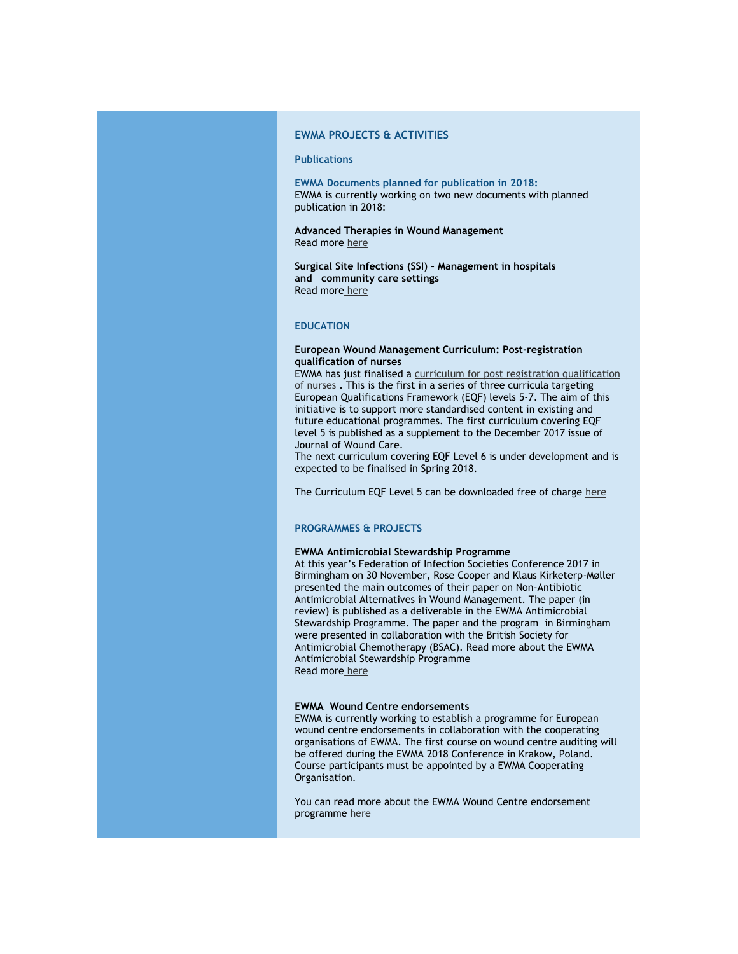# **EWMA PROJECTS & ACTIVITIES**

## **Publications**

**EWMA Documents planned for publication in 2018:** EWMA is currently working on two new documents with planned publication in 2018:

**Advanced Therapies in Wound Management** Read more [here](http://click.icptrack.com/icp/relay.php?r=&msgid=2081647&act=111111&c=614578&destination=http%3A%2F%2Fewma.org%2Fwhat-we-do%2Fewma-projects%2Fwe-are-currently-working-on%2Fadvanced-therapies-in-wound-management%2F)

**Surgical Site Infections (SSI) – Management in hospitals and community care settings** Read more [here](http://click.icptrack.com/icp/relay.php?r=&msgid=2081647&act=111111&c=614578&destination=http%3A%2F%2Fewma.org%2Fwhat-we-do%2Fewma-projects%2Fwe-are-currently-working-on%2Fsurgical-site-infections%2F)

# **EDUCATION**

## **European Wound Management Curriculum: Post-registration qualification of nurses**

EWMA has just finalised a [curriculum for post registration qualification](http://click.icptrack.com/icp/relay.php?r=&msgid=2081647&act=111111&c=614578&destination=http%3A%2F%2Fewma.org%2Fwhat-we-do%2Fewma-projects%2Fwe-are-currently-working-on%2Fwound-curriculum-post-graduate-nurse-education%2F)  [of nurses](http://click.icptrack.com/icp/relay.php?r=&msgid=2081647&act=111111&c=614578&destination=http%3A%2F%2Fewma.org%2Fwhat-we-do%2Fewma-projects%2Fwe-are-currently-working-on%2Fwound-curriculum-post-graduate-nurse-education%2F) . This is the first in a series of three curricula targeting European Qualifications Framework (EQF) levels 5-7. The aim of this initiative is to support more standardised content in existing and future educational programmes. The first curriculum covering EQF level 5 is published as a supplement to the December 2017 issue of Journal of Wound Care.

The next curriculum covering EQF Level 6 is under development and is expected to be finalised in Spring 2018.

The Curriculum EQF Level 5 can be downloaded free of charg[e here](http://click.icptrack.com/icp/relay.php?r=&msgid=2081647&act=111111&c=614578&destination=https%3A%2F%2Fwww.magonlinelibrary.com%2Fdoi%2Fpdf%2F10.12968%2Fjowc.2017.28.Sup12.S1)

#### **PROGRAMMES & PROJECTS**

#### **EWMA Antimicrobial Stewardship Programme**

At this year's Federation of Infection Societies Conference 2017 in Birmingham on 30 November, Rose Cooper and Klaus Kirketerp-Møller presented the main outcomes of their paper on Non-Antibiotic Antimicrobial Alternatives in Wound Management. The paper (in review) is published as a deliverable in the EWMA Antimicrobial Stewardship Programme. The paper and the program in Birmingham were presented in collaboration with the British Society for Antimicrobial Chemotherapy (BSAC). Read more about the EWMA Antimicrobial Stewardship Programme Read more [here](http://click.icptrack.com/icp/relay.php?r=&msgid=2081647&act=111111&c=614578&destination=http%3A%2F%2Fewma.org%2Fwhat-we-do%2Fewma-projects%2Fwe-are-currently-working-on%2Fantimicrobial-stewardship%2F) 

#### **EWMA Wound Centre endorsements**

EWMA is currently working to establish a programme for European wound centre endorsements in collaboration with the cooperating organisations of EWMA. The first course on wound centre auditing will be offered during the EWMA 2018 Conference in Krakow, Poland. Course participants must be appointed by a EWMA Cooperating Organisation.

You can read more about the EWMA Wound Centre endorsement programme [here](http://click.icptrack.com/icp/relay.php?r=&msgid=2081647&act=111111&c=614578&destination=http%3A%2F%2Fewma.org%2Fwhat-we-do%2Fcentre-endorsements%2F)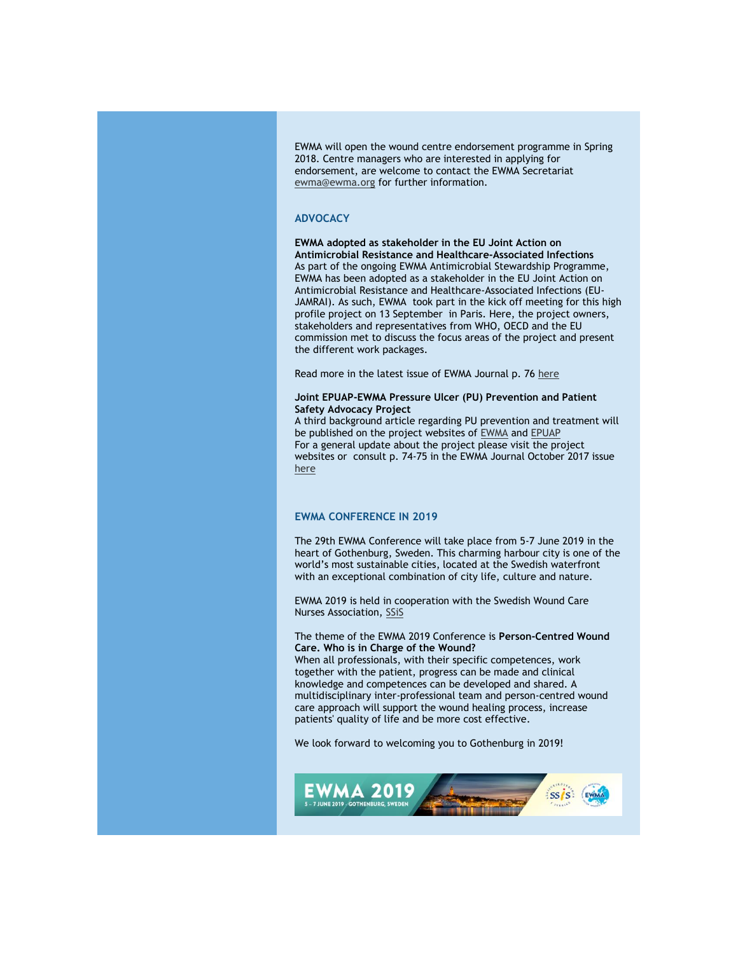EWMA will open the wound centre endorsement programme in Spring 2018. Centre managers who are interested in applying for endorsement, are welcome to contact the EWMA Secretariat [ewma@ewma.org](mailto:ewma@ewma.org) for further information.

## **ADVOCACY**

**EWMA adopted as stakeholder in the EU Joint Action on Antimicrobial Resistance and Healthcare-Associated Infections** As part of the ongoing EWMA Antimicrobial Stewardship Programme, EWMA has been adopted as a stakeholder in the EU Joint Action on Antimicrobial Resistance and Healthcare-Associated Infections (EU-JAMRAI). As such, EWMA took part in the kick off meeting for this high profile project on 13 September in Paris. Here, the project owners, stakeholders and representatives from WHO, OECD and the EU commission met to discuss the focus areas of the project and present the different work packages.

Read more in the latest issue of EWMA Journal p. 7[6 here](http://click.icptrack.com/icp/relay.php?r=&msgid=2081647&act=111111&c=614578&destination=http%3A%2F%2Fewma.org%2Fwhat-we-do%2Fewma-journal%2F)

#### **Joint EPUAP-EWMA Pressure Ulcer (PU) Prevention and Patient Safety Advocacy Project**

A third background article regarding PU prevention and treatment will be published on the project websites of [EWMA](http://click.icptrack.com/icp/relay.php?r=&msgid=2081647&act=111111&c=614578&destination=http%3A%2F%2Fewma.org%2Fwhat-we-do%2Fewma-projects%2Fwe-are-currently-working-on%2Fpu-prevention-and-patient-safety-advocacy%2F) an[d EPUAP](http://click.icptrack.com/icp/relay.php?r=&msgid=2081647&act=111111&c=614578&destination=http%3A%2F%2Fwww.epuap.org%2Fprojects%2F) For a general update about the project please visit the project websites or consult p. 74-75 in the EWMA Journal October 2017 issue [here](http://click.icptrack.com/icp/relay.php?r=&msgid=2081647&act=111111&c=614578&destination=http%3A%2F%2Fewma.org%2Fwhat-we-do%2Fewma-journal%2F)

# **EWMA CONFERENCE IN 2019**

The 29th EWMA Conference will take place from 5-7 June 2019 in the heart of Gothenburg, Sweden. This charming harbour city is one of the world's most sustainable cities, located at the Swedish waterfront with an exceptional combination of city life, culture and nature.

EWMA 2019 is held in cooperation with the Swedish Wound Care Nurses Association, [SSiS](http://click.icptrack.com/icp/relay.php?r=&msgid=2081647&act=111111&c=614578&destination=http%3A%2F%2FWWW.SARSJUKSKOTERSKOR.SE)

# The theme of the EWMA 2019 Conference is **Person-Centred Wound Care. Who is in Charge of the Wound?**

When all professionals, with their specific competences, work together with the patient, progress can be made and clinical knowledge and competences can be developed and shared. A multidisciplinary inter-professional team and person-centred wound care approach will support the wound healing process, increase patients' quality of life and be more cost effective.

We look forward to welcoming you to Gothenburg in 2019!

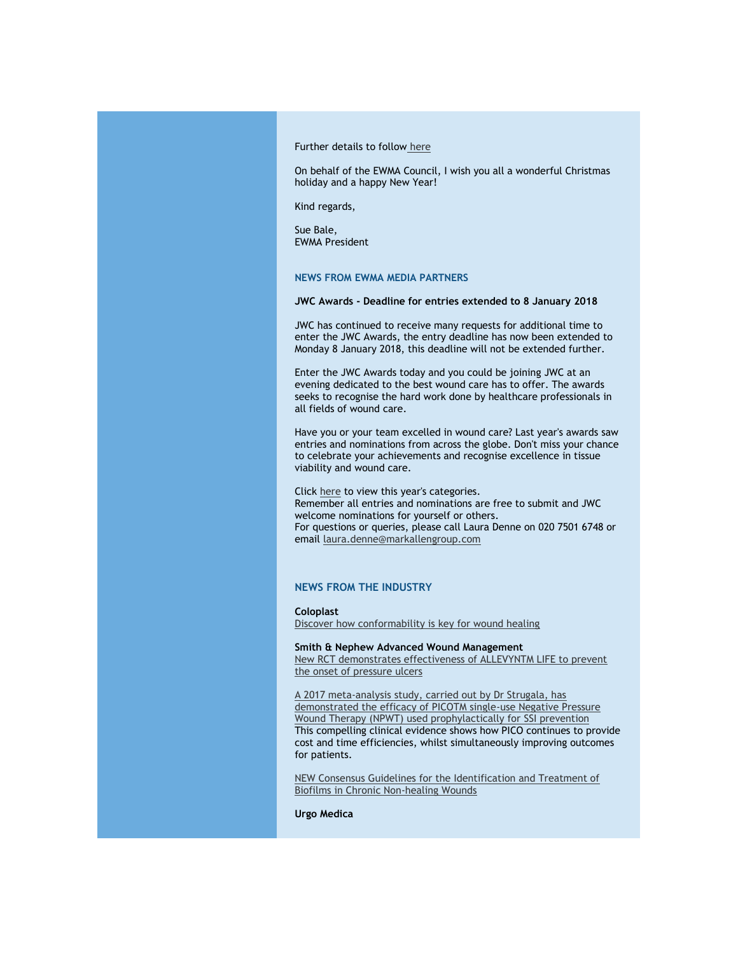Further details to follow [here](http://click.icptrack.com/icp/relay.php?r=&msgid=2081647&act=111111&c=614578&destination=http%3A%2F%2Fewma.org%2Fewma-conference%2Fewma-conferences%2F)

On behalf of the EWMA Council, I wish you all a wonderful Christmas holiday and a happy New Year!

Kind regards,

Sue Bale, EWMA President

**NEWS FROM EWMA MEDIA PARTNERS**

#### **JWC Awards - Deadline for entries extended to 8 January 2018**

JWC has continued to receive many requests for additional time to enter the JWC Awards, the entry deadline has now been extended to Monday 8 January 2018, this deadline will not be extended further.

Enter the JWC Awards today and you could be joining JWC at an evening dedicated to the best wound care has to offer. The awards seeks to recognise the hard work done by healthcare professionals in all fields of wound care.

Have you or your team excelled in wound care? Last year's awards saw entries and nominations from across the globe. Don't miss your chance to celebrate your achievements and recognise excellence in tissue viability and wound care.

Clic[k here](http://click.icptrack.com/icp/relay.php?r=&msgid=2081647&act=111111&c=614578&destination=http%3A%2F%2Fwww.jwcawards.com%2Fcategories-2018%3Futm_source%3DAdestra%26utm_medium%3DEmail%26utm_campaign%3DJWCAwards2018%26utm_term%3DJWCAwards2018%26utm_content%3DJWCAwards2018__categories) to view this year's categories. Remember all entries and nominations are free to submit and JWC welcome nominations for yourself or others. For questions or queries, please call Laura Denne on 020 7501 6748 or email [laura.denne@markallengroup.com](mailto:laura.denne@markallengroup.com)

## **NEWS FROM THE INDUSTRY**

**Coloplast** [Discover how conformability is key for wound healing](http://click.icptrack.com/icp/relay.php?r=&msgid=2081647&act=111111&c=614578&destination=https%3A%2F%2Fwww.coloplast.com%2Fproducts%2Fwound%2Fbiatain-silicone%2F)

# **Smith & Nephew Advanced Wound Management**

[New RCT demonstrates effectiveness of ALLEVYNTM LIFE to prevent](http://click.icptrack.com/icp/relay.php?r=&msgid=2081647&act=111111&c=614578&destination=http%3A%2F%2Fwww.smith-nephew.com%2Fnews-and-media%2Fmedia-releases%2Fnews%2Fnew-rct-demonstrates-effectiveness-of-allevyn-life-to-prevent-the-onset-of-pressure-ulcers%2F)  [the onset of pressure ulcers](http://click.icptrack.com/icp/relay.php?r=&msgid=2081647&act=111111&c=614578&destination=http%3A%2F%2Fwww.smith-nephew.com%2Fnews-and-media%2Fmedia-releases%2Fnews%2Fnew-rct-demonstrates-effectiveness-of-allevyn-life-to-prevent-the-onset-of-pressure-ulcers%2F)

[A 2017 meta-analysis study, carried out by Dr Strugala, has](http://click.icptrack.com/icp/relay.php?r=&msgid=2081647&act=111111&c=614578&destination=http%3A%2F%2Fonline.liebertpub.com%2Fdoi%2F10.1089%2Fsur.2017.156)  [demonstrated the efficacy of PICOTM single-use Negative Pressure](http://click.icptrack.com/icp/relay.php?r=&msgid=2081647&act=111111&c=614578&destination=http%3A%2F%2Fonline.liebertpub.com%2Fdoi%2F10.1089%2Fsur.2017.156)  [Wound Therapy \(NPWT\) used prophylactically for SSI prevention](http://click.icptrack.com/icp/relay.php?r=&msgid=2081647&act=111111&c=614578&destination=http%3A%2F%2Fonline.liebertpub.com%2Fdoi%2F10.1089%2Fsur.2017.156) This compelling clinical evidence shows how PICO continues to provide cost and time efficiencies, whilst simultaneously improving outcomes for patients.

[NEW Consensus Guidelines for the Identification and Treatment of](http://click.icptrack.com/icp/relay.php?r=&msgid=2081647&act=111111&c=614578&destination=http%3A%2F%2Fonlinelibrary.wiley.com%2Fdoi%2F10.1111%2Fwrr.12590%2Fabstract%3Bjsessionid%3DFE0F49E86F2DC89963D97117318DD5E7.f02t04)  [Biofilms in Chronic Non-healing Wounds](http://click.icptrack.com/icp/relay.php?r=&msgid=2081647&act=111111&c=614578&destination=http%3A%2F%2Fonlinelibrary.wiley.com%2Fdoi%2F10.1111%2Fwrr.12590%2Fabstract%3Bjsessionid%3DFE0F49E86F2DC89963D97117318DD5E7.f02t04)

**Urgo Medica**